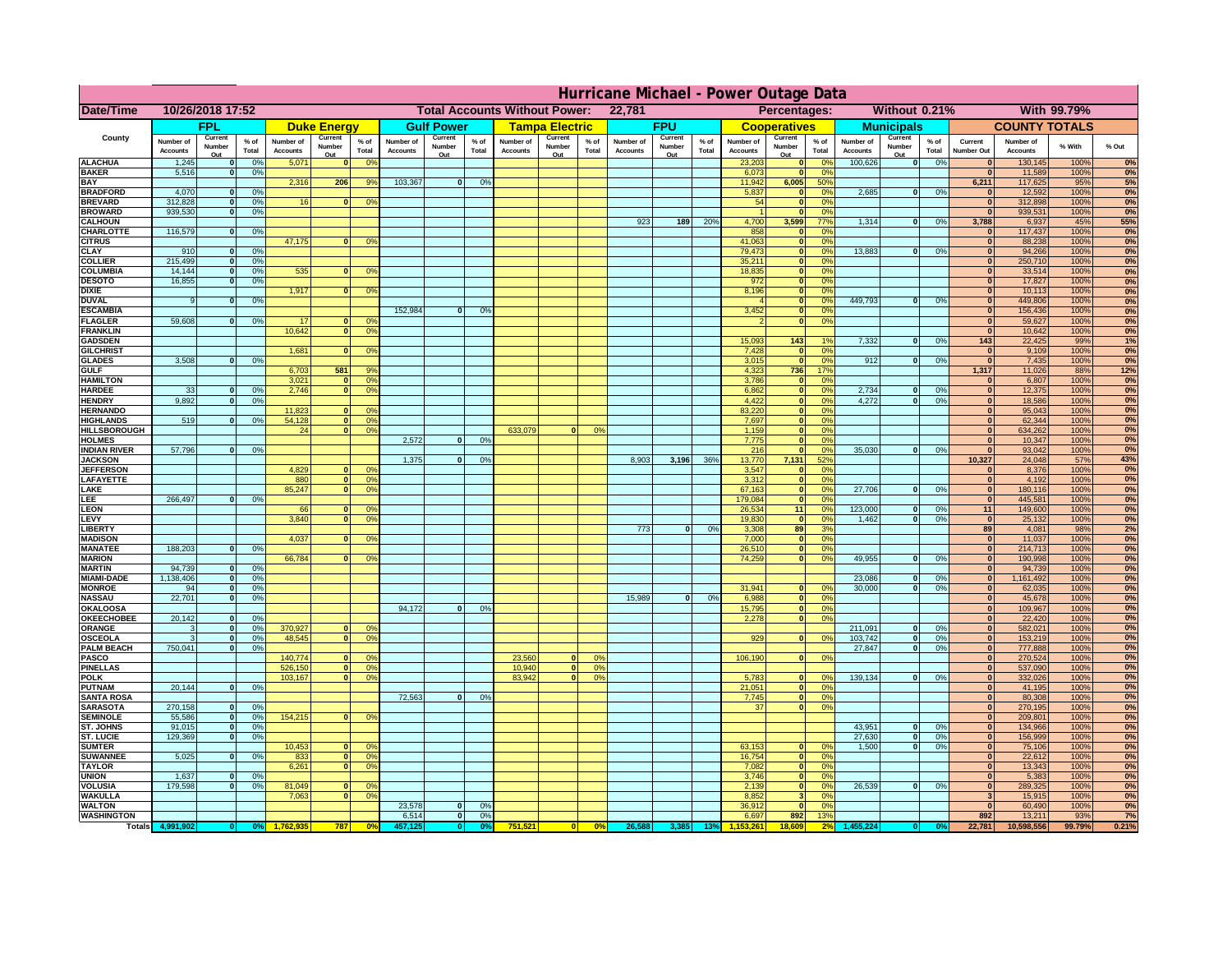|                                       | Hurricane Michael - Power Outage Data |                            |                 |                              |                    |                                                |                              |                          |                |                              |                       |                                              |                              |                   |                 |                              |                              |                                  |                              |                          |                 |                                             |                              |              |           |
|---------------------------------------|---------------------------------------|----------------------------|-----------------|------------------------------|--------------------|------------------------------------------------|------------------------------|--------------------------|----------------|------------------------------|-----------------------|----------------------------------------------|------------------------------|-------------------|-----------------|------------------------------|------------------------------|----------------------------------|------------------------------|--------------------------|-----------------|---------------------------------------------|------------------------------|--------------|-----------|
| Date/Time                             | 10/26/2018 17:52                      |                            |                 |                              |                    | 22,781<br><b>Total Accounts Without Power:</b> |                              |                          |                |                              |                       | Without 0.21%<br>With 99.79%<br>Percentages: |                              |                   |                 |                              |                              |                                  |                              |                          |                 |                                             |                              |              |           |
|                                       |                                       | FPL                        |                 |                              | <b>Duke Energy</b> |                                                |                              | <b>Gulf Power</b>        |                |                              | <b>Tampa Electric</b> |                                              |                              | <b>FPU</b>        |                 |                              | <b>Cooperatives</b>          |                                  |                              | <b>Municipals</b>        |                 |                                             | <b>COUNTY TOTALS</b>         |              |           |
| County                                | Number of<br><b>Accounts</b>          | Current<br>Number          | $%$ of<br>Total | Number of<br><b>Accounts</b> | Current<br>Number  | $%$ of<br>Total                                | Number of<br><b>Accounts</b> | Current<br>Number<br>Out | % of<br>Total  | Number of<br><b>Accounts</b> | Current<br>Number     | $%$ of<br>Total                              | Number of<br><b>Accounts</b> | Current<br>Number | $%$ of<br>Total | Number of<br><b>Accounts</b> | Current<br>Number            | $%$ of<br>Total                  | Number of<br><b>Accounts</b> | Current<br>Number        | $%$ of<br>Total | Current<br><b>Number Out</b>                | Number of<br><b>Accounts</b> | % With       | % Out     |
| <b>ALACHUA</b>                        | 1,245                                 | Out<br>$\mathbf{0}$        | 0%              | 5,071                        | Out<br>$\bf{0}$    | 0 <sup>9</sup>                                 |                              |                          |                |                              | Out                   |                                              |                              | Out               |                 | 23,203                       | Out<br> 0                    | 0 <sup>9</sup>                   | 100,626                      | Out<br> 0                | 0%              | $\bf{0}$                                    | 130,145                      | 100%         | 0%        |
| <b>BAKER</b>                          | 5,516                                 | 0                          | 0%              |                              |                    |                                                |                              |                          |                |                              |                       |                                              |                              |                   |                 | 6,073                        | 0                            | 0%                               |                              |                          |                 | $\mathbf{0}$                                | 11,589                       | 100%         | 0%        |
| <b>BAY</b><br><b>BRADFORD</b>         | 4,070                                 | $\mathbf{0}$               | 0%              | 2,316                        | 206                | 9%                                             | 103,367                      | 0                        | 0%             |                              |                       |                                              |                              |                   |                 | 11,942<br>5,837              | 6,005<br> 0                  | 50%<br>0%                        | 2,685                        | 0                        | 0%              | 6,211<br>$\bf{0}$                           | 117,625<br>12,592            | 95%<br>100%  | 5%<br>0%  |
| <b>BREVARD</b>                        | 312,828                               | 0                          | 0%              | 16                           | 0                  | 0 <sup>o</sup>                                 |                              |                          |                |                              |                       |                                              |                              |                   |                 | 54                           | 0                            | 0%                               |                              |                          |                 | 0                                           | 312,898                      | 100%         | 0%        |
| <b>BROWARD</b>                        | 939.530                               | 0                          | 0%              |                              |                    |                                                |                              |                          |                |                              |                       |                                              |                              |                   |                 |                              | 0                            | 0%                               |                              |                          |                 | $\bf{0}$                                    | 939,531                      | 100%         | 0%        |
| <b>CALHOUN</b>                        |                                       |                            |                 |                              |                    |                                                |                              |                          |                |                              |                       |                                              | 923                          | 189               | 20%             | 4,700                        | 3,599                        | 77%                              | 1,314                        | 0                        | 0%              | 3,788                                       | 6,937                        | 45%          | 55%       |
| CHARLOTTE<br><b>CITRUS</b>            | 116,579                               | 0                          | 0%              | 47,175                       | $\mathbf{0}$       | 0 <sup>o</sup>                                 |                              |                          |                |                              |                       |                                              |                              |                   |                 | 858<br>41,063                | 0 <br> 0                     | 0 <sup>9</sup><br>0 <sup>9</sup> |                              |                          |                 | $\bf{0}$                                    | 117,437<br>88,238            | 100%<br>100% | 0%<br>0%  |
| <b>CLAY</b>                           | 910                                   | $\mathbf{0}$               | 0%              |                              |                    |                                                |                              |                          |                |                              |                       |                                              |                              |                   |                 | 79,473                       | 0                            | 0 <sup>9</sup>                   | 13,883                       | $\mathbf{0}$             | 0%              | $\bf{0}$                                    | 94,266                       | 100%         | 0%        |
| <b>COLLIER</b>                        | 215,499                               | $\mathbf{0}$               | 0 <sup>9</sup>  |                              |                    |                                                |                              |                          |                |                              |                       |                                              |                              |                   |                 | 35,211                       | 0                            | 0%                               |                              |                          |                 | $\bf{0}$                                    | 250,710                      | 100%         | 0%        |
| <b>COLUMBIA</b>                       | 14,144                                | $\mathbf 0$                | 0%              | 535                          | $\mathbf{0}$       | 0 <sup>9</sup>                                 |                              |                          |                |                              |                       |                                              |                              |                   |                 | 18,835                       | 0                            | 0%                               |                              |                          |                 | $\bf{0}$                                    | 33,514                       | 100%         | 0%        |
| <b>DESOTO</b><br><b>DIXIE</b>         | 16,855                                | $\mathbf{0}$               | 0%              | 1,917                        | $\Omega$           | 0 <sup>9</sup>                                 |                              |                          |                |                              |                       |                                              |                              |                   |                 | 972<br>8,196                 | 0 <br> 0                     | 0%<br>0%                         |                              |                          |                 | $\bf{0}$<br>$\Omega$                        | 17,827<br>10,113             | 100%<br>100% | 0%<br>0%  |
| <b>DUVAL</b>                          | 9                                     | $\Omega$                   | 0%              |                              |                    |                                                |                              |                          |                |                              |                       |                                              |                              |                   |                 |                              | 0                            | 0%                               | 449.793                      | $\overline{0}$           | 0%              | $\Omega$                                    | 449,806                      | 100%         | 0%        |
| <b>ESCAMBIA</b>                       |                                       |                            |                 |                              |                    |                                                | 152,984                      | $\mathbf{0}$             | 0 <sup>9</sup> |                              |                       |                                              |                              |                   |                 | 3,452                        | 0                            | 0%                               |                              |                          |                 | $\Omega$                                    | 156,436                      | 100%         | 0%        |
| <b>FLAGLER</b>                        | 59,608                                | $\overline{0}$             | 0%              | 17                           | $\bf{0}$           | 0 <sup>o</sup>                                 |                              |                          |                |                              |                       |                                              |                              |                   |                 |                              | 0                            | 0%                               |                              |                          |                 | $\mathbf{0}$                                | 59,627                       | 100%         | 0%        |
| <b>FRANKLIN</b>                       |                                       |                            |                 | 10,642                       | 0                  | 0 <sup>9</sup>                                 |                              |                          |                |                              |                       |                                              |                              |                   |                 |                              |                              |                                  |                              |                          |                 | $\overline{0}$                              | 10,642                       | 100%         | 0%        |
| <b>GADSDEN</b><br><b>GILCHRIST</b>    |                                       |                            |                 | 1,681                        | $\Omega$           | 0 <sup>9</sup>                                 |                              |                          |                |                              |                       |                                              |                              |                   |                 | 15,093<br>7,428              | $\overline{143}$<br> 0       | 0%                               | 7,332                        | 0                        | 0%              | $\overline{143}$<br>$\overline{\mathbf{0}}$ | 22,425<br>9,109              | 99%<br>100%  | 1%<br>0%  |
| <b>GLADES</b>                         | 3,508                                 | 0                          | 0%              |                              |                    |                                                |                              |                          |                |                              |                       |                                              |                              |                   |                 | 3,015                        | 0                            | 0%                               | 912                          | $\overline{0}$           | 0%              | 0                                           | 7,435                        | 100%         | 0%        |
| <b>GULF</b>                           |                                       |                            |                 | 6,703                        | 581                | 9%                                             |                              |                          |                |                              |                       |                                              |                              |                   |                 | 4,323                        | 736                          | 17%                              |                              |                          |                 | 1,317                                       | 11,026                       | 88%          | 12%       |
| <b>HAMILTON</b>                       |                                       |                            |                 | 3,021                        | $\overline{0}$     | 0 <sup>9</sup>                                 |                              |                          |                |                              |                       |                                              |                              |                   |                 | 3,786                        | 0                            | 0%                               |                              |                          |                 | 0                                           | 6,807                        | 100%         | 0%        |
| <b>HARDEE</b><br><b>HENDRY</b>        | 33<br>9,892                           | $\overline{0}$<br>$\Omega$ | 0%              | 2.746                        | $\overline{0}$     | 0 <sup>9</sup>                                 |                              |                          |                |                              |                       |                                              |                              |                   |                 | 6.862                        | $\overline{0}$               | 0%<br>0%                         | 2.734<br>4,272               | $\mathbf{0}$<br>$\Omega$ | 0%<br>0%        | 0 <br> 0                                    | 12,375                       | 100%         | 0%        |
| <b>HERNANDO</b>                       |                                       |                            | 0%              | 11,823                       | $\mathbf{0}$       | 0 <sup>9</sup>                                 |                              |                          |                |                              |                       |                                              |                              |                   |                 | 4,422<br>83,220              | 0 <br> 0                     | 0%                               |                              |                          |                 | $\mathbf{0}$                                | 18,586<br>95,043             | 100%<br>100% | 0%<br>0%  |
| <b>HIGHLANDS</b>                      | 519                                   | $\mathbf{0}$               | 0 <sup>9</sup>  | 54,128                       | 0                  | 0 <sup>9</sup>                                 |                              |                          |                |                              |                       |                                              |                              |                   |                 | 7,697                        | 0                            | 0%                               |                              |                          |                 | $\mathbf{0}$                                | 62,344                       | 100%         | 0%        |
| <b>HILLSBOROUGH</b>                   |                                       |                            |                 | 24                           | 0                  | 0 <sup>9</sup>                                 |                              |                          |                | 633,079                      |                       | 0%                                           |                              |                   |                 | 1,159                        | 0                            | 0%                               |                              |                          |                 | $\mathbf{0}$                                | 634,262                      | 100%         | 0%        |
| <b>HOLMES</b>                         |                                       |                            |                 |                              |                    |                                                | 2.572                        | $\mathbf{0}$             | 0%             |                              |                       |                                              |                              |                   |                 | 7,775                        | 0                            | 0%                               |                              |                          |                 | $\mathbf{0}$                                | 10,347                       | 100%         | 0%        |
| <b>INDIAN RIVER</b><br><b>JACKSON</b> | 57,796                                | $\mathbf{0}$               | 0%              |                              |                    |                                                | 1.375                        | $\mathbf{0}$             | 0 <sup>9</sup> |                              |                       |                                              | 8.903                        | 3,196             | 36%             | 216<br>13,770                | 0 <br>7.131                  | 0%<br>52%                        | 35,030                       | $\mathbf{0}$             | 0%              | $\mathbf{0}$<br>10.327                      | 93,042<br>24,048             | 100%<br>57%  | 0%<br>43% |
| <b>JEFFERSON</b>                      |                                       |                            |                 | 4.829                        | n l                | 0 <sup>9</sup>                                 |                              |                          |                |                              |                       |                                              |                              |                   |                 | 3.547                        | 0                            | 0%                               |                              |                          |                 | 0                                           | 8.376                        | 100%         | 0%        |
| LAFAYETTE                             |                                       |                            |                 | 880                          | 0                  | 0 <sup>9</sup>                                 |                              |                          |                |                              |                       |                                              |                              |                   |                 | 3.312                        | 0                            | 0%                               |                              |                          |                 | 0                                           | 4.192                        | 100%         | 0%        |
| LAKE                                  |                                       |                            |                 | 85,247                       | $\mathbf{0}$       | 0 <sup>9</sup>                                 |                              |                          |                |                              |                       |                                              |                              |                   |                 | 67,163                       | 0                            | 0%                               | 27,706                       | $\Omega$                 | 0%              | 0                                           | 180,116                      | 100%         | 0%        |
| EE.                                   | 266,497                               | 0                          | 0%              | 66                           | $\mathbf{0}$       |                                                |                              |                          |                |                              |                       |                                              |                              |                   |                 | 179,084                      | 0                            | 0%                               | 123,000                      | $\mathbf{0}$             |                 | 0                                           | 445,581                      | 100%         | 0%<br>0%  |
| LEON<br>LEVY                          |                                       |                            |                 | 3,840                        | $\Omega$           | 0 <sup>o</sup><br>0 <sup>9</sup>               |                              |                          |                |                              |                       |                                              |                              |                   |                 | 26,534<br>19,830             | 11<br> 0                     | 0%<br>0%                         | 1,462                        | -ol                      | 0%<br>0%        | 11<br> 0                                    | 149,600<br>25,132            | 100%<br>100% | 0%        |
| <b>LIBERTY</b>                        |                                       |                            |                 |                              |                    |                                                |                              |                          |                |                              |                       |                                              | 773                          | $\Omega$          | 0%              | 3,308                        | 89                           | 3%                               |                              |                          |                 | 89                                          | 4,081                        | 98%          | 2%        |
| <b>MADISON</b>                        |                                       |                            |                 | 4,037                        | $\Omega$           | 0 <sup>9</sup>                                 |                              |                          |                |                              |                       |                                              |                              |                   |                 | 7,000                        | 0                            | 0%                               |                              |                          |                 | 0                                           | 11,037                       | 100%         | 0%        |
| <b>MANATEE</b>                        | 188,203                               | 0                          | 0%              |                              |                    |                                                |                              |                          |                |                              |                       |                                              |                              |                   |                 | 26,510                       | 0                            | 0%                               |                              |                          |                 | 0                                           | 214,713                      | 100%         | 0%        |
| <b>MARION</b><br><b>MARTIN</b>        | 94,739                                | 0                          | 0%              | 66,784                       | 0                  | 0 <sup>9</sup>                                 |                              |                          |                |                              |                       |                                              |                              |                   |                 | 74,259                       | 0                            | 0%                               | 49,955                       | $\Omega$                 | 0%              | 0 <br> 0                                    | 190,998<br>94,739            | 100%<br>100% | 0%<br>0%  |
| <b>MIAMI-DADE</b>                     | 1,138,406                             | 0                          | 0%              |                              |                    |                                                |                              |                          |                |                              |                       |                                              |                              |                   |                 |                              |                              |                                  | 23,086                       | $\mathbf{0}$             | 0%              | 0                                           | 1,161,492                    | 100%         | 0%        |
| <b>MONROE</b>                         | 94                                    | 0                          | 0%              |                              |                    |                                                |                              |                          |                |                              |                       |                                              |                              |                   |                 | 31,941                       | $\overline{0}$               | 0 <sup>9</sup>                   | 30,000                       | 0                        | 0%              | 0                                           | 62,035                       | 100%         | 0%        |
| <b>NASSAU</b>                         | 22,701                                | 0                          | 0%              |                              |                    |                                                |                              |                          |                |                              |                       |                                              | 15,989                       | 0                 | 0%              | 6,988                        | 0                            | 0%                               |                              |                          |                 | 0                                           | 45,678                       | 100%         | 0%        |
| <b>OKALOOSA</b><br><b>OKEECHOBEE</b>  | 20,142                                |                            | 0%              |                              |                    |                                                | 94,172                       | $\mathbf{0}$             | 0%             |                              |                       |                                              |                              |                   |                 | 15,795                       | 0                            | 0%<br>0%                         |                              |                          |                 | 0                                           | 109,967                      | 100%         | 0%<br>0%  |
| ORANGE                                | 3                                     | 0 <br> 0                   | 0%              | 370,927                      |                    | 0 <br>0 <sup>o</sup>                           |                              |                          |                |                              |                       |                                              |                              |                   |                 | 2,278                        |                              | 0                                | 211,091                      | $\overline{\mathbf{0}}$  | 0%              | 0 <br> 0                                    | 22,420<br>582,021            | 100%<br>100% | 0%        |
| <b>OSCEOLA</b>                        | 3                                     | 0                          | 0%              | 48,545                       |                    | 0 <sup>9</sup><br> 0                           |                              |                          |                |                              |                       |                                              |                              |                   |                 | 929                          |                              | 0 <br>0%                         | 103,742                      | 0                        | 0%              | 0                                           | 153,219                      | 100%         | 0%        |
| <b>PALM BEACH</b>                     | 750,041                               | 0                          | 0%              |                              |                    |                                                |                              |                          |                |                              |                       |                                              |                              |                   |                 |                              |                              |                                  | 27,847                       | $\overline{0}$           | 0%              | 0                                           | 777,888                      | 100%         | 0%        |
| PASCO                                 |                                       |                            |                 | 140,774                      | $\Omega$           | 0 <sup>9</sup><br>0 <sup>9</sup>               |                              |                          |                | 23,560                       | $\Omega$              | $^{\circ}$<br>0%                             |                              |                   |                 | 106,190                      |                              | 0 <br>0%                         |                              |                          |                 | 0 <br>$\mathbf{0}$                          | 270,524                      | 100%         | 0%        |
| <b>PINELLAS</b><br><b>POLK</b>        |                                       |                            |                 | 526,150<br>103,167           |                    | 0 <br>0 <sup>9</sup><br> 0                     |                              |                          |                | 10,940<br>83,942             | 0 <br>$\mathbf{a}$    | 0%                                           |                              |                   |                 | 5,783                        | 0                            | $\Omega$                         | 139,134                      | 0                        | 0%              | 0                                           | 537,090<br>332,026           | 100%<br>100% | 0%<br>0%  |
| <b>PUTNAM</b>                         | 20,144                                | 0                          | 0%              |                              |                    |                                                |                              |                          |                |                              |                       |                                              |                              |                   |                 | 21,051                       | $\ddot{\textbf{0}}$          | 0%                               |                              |                          |                 | $\bf{0}$                                    | 41,195                       | 100%         | 0%        |
| <b>SANTA ROSA</b>                     |                                       |                            |                 |                              |                    |                                                | 72,563                       | 0                        | 0%             |                              |                       |                                              |                              |                   |                 | 7,745                        | 0                            | 0%                               |                              |                          |                 | $\mathbf{0}$                                | 80,308                       | 100%         | 0%        |
| <b>SARASOTA</b>                       | 270,158                               | 0                          | 0%              |                              |                    |                                                |                              |                          |                |                              |                       |                                              |                              |                   |                 | 37                           |                              | 0 <br>0%                         |                              |                          |                 | 0                                           | 270,195                      | 100%         | 0%        |
| <b>SEMINOLE</b><br>ST. JOHNS          | 55,586<br>91,015                      | 0 <br> 0                   | 0%<br>0%        | 154,215                      |                    | $\mathbf{0}$<br>0 <sup>9</sup>                 |                              |                          |                |                              |                       |                                              |                              |                   |                 |                              |                              |                                  | 43,951                       | -ol                      | 0%              | $\mathbf{0}$<br> 0                          | 209,801<br>134,966           | 100%<br>100% | 0%<br>0%  |
| <b>ST. LUCIE</b>                      | 129.369                               | $\mathbf{0}$               | 0%              |                              |                    |                                                |                              |                          |                |                              |                       |                                              |                              |                   |                 |                              |                              |                                  | 27.630                       | - O I                    | 0%              | 0                                           | 156,999                      | 100%         | 0%        |
| <b>SUMTER</b>                         |                                       |                            |                 | 10,453                       | $\overline{0}$     | 0 <sup>9</sup>                                 |                              |                          |                |                              |                       |                                              |                              |                   |                 | 63,153                       | 0                            | 0%                               | 1.500                        | 0                        | 0%              | 0                                           | 75,106                       | 100%         | 0%        |
| <b>SUWANNEE</b>                       | 5,025                                 | 0                          | 0%              | 833                          | 0                  | 0 <sup>o</sup>                                 |                              |                          |                |                              |                       |                                              |                              |                   |                 | 16,754                       | 0                            | 0%                               |                              |                          |                 | $\mathbf{0}$                                | 22,612                       | 100%         | 0%        |
| <b>TAYLOR</b>                         |                                       |                            |                 | 6,261                        | 0                  | 0 <sup>9</sup>                                 |                              |                          |                |                              |                       |                                              |                              |                   |                 | 7,082                        | 0                            | 0%                               |                              |                          |                 | $\bf{0}$                                    | 13,343                       | 100%         | 0%        |
| <b>UNION</b><br><b>VOLUSIA</b>        | 1,637<br>179,598                      | $\mathbf{0}$<br>0          | 0%<br>0%        | 81,049                       | $\mathbf{0}$       | $\mathbf{0}$                                   |                              |                          |                |                              |                       |                                              |                              |                   |                 | 3,746<br>2,139               | 0 <br> 0                     | 0%<br>0%                         | 26,539                       | 0                        | 0%              | $\bf{0}$<br>$\bf{0}$                        | 5,383<br>289,325             | 100%<br>100% | 0%<br>0%  |
| <b>WAKULLA</b>                        |                                       |                            |                 | 7,063                        | $\mathbf{0}$       | 0 <sup>9</sup>                                 |                              |                          |                |                              |                       |                                              |                              |                   |                 | 8,852                        | $\vert$ <sub>3</sub> $\vert$ | 0%                               |                              |                          |                 | 3                                           | 15,915                       | 100%         | 0%        |
| <b>WALTON</b>                         |                                       |                            |                 |                              |                    |                                                | 23,578                       | $\mathbf{0}$             | 0%             |                              |                       |                                              |                              |                   |                 | 36,912                       | 0                            | 0%                               |                              |                          |                 | $\mathbf{0}$                                | 60,490                       | 100%         | 0%        |
| <b>WASHINGTON</b>                     |                                       |                            |                 |                              |                    |                                                | 6,514                        | 0                        | 0%             |                              |                       |                                              |                              |                   |                 | 6,697                        | 892                          | 13%                              |                              |                          |                 | 892                                         | 13,211                       | 93%          | 7%        |
| <b>Totals</b>                         |                                       |                            |                 |                              | 787                | 0 <sup>6</sup>                                 |                              | $\bullet$                |                | 751,521                      | 0                     | 0%                                           | 26,588                       |                   | 13%             |                              | 18,609                       | 2 <sup>6</sup>                   |                              |                          |                 | 22,781                                      | 10,598,556                   | 99.79%       | 0.21%     |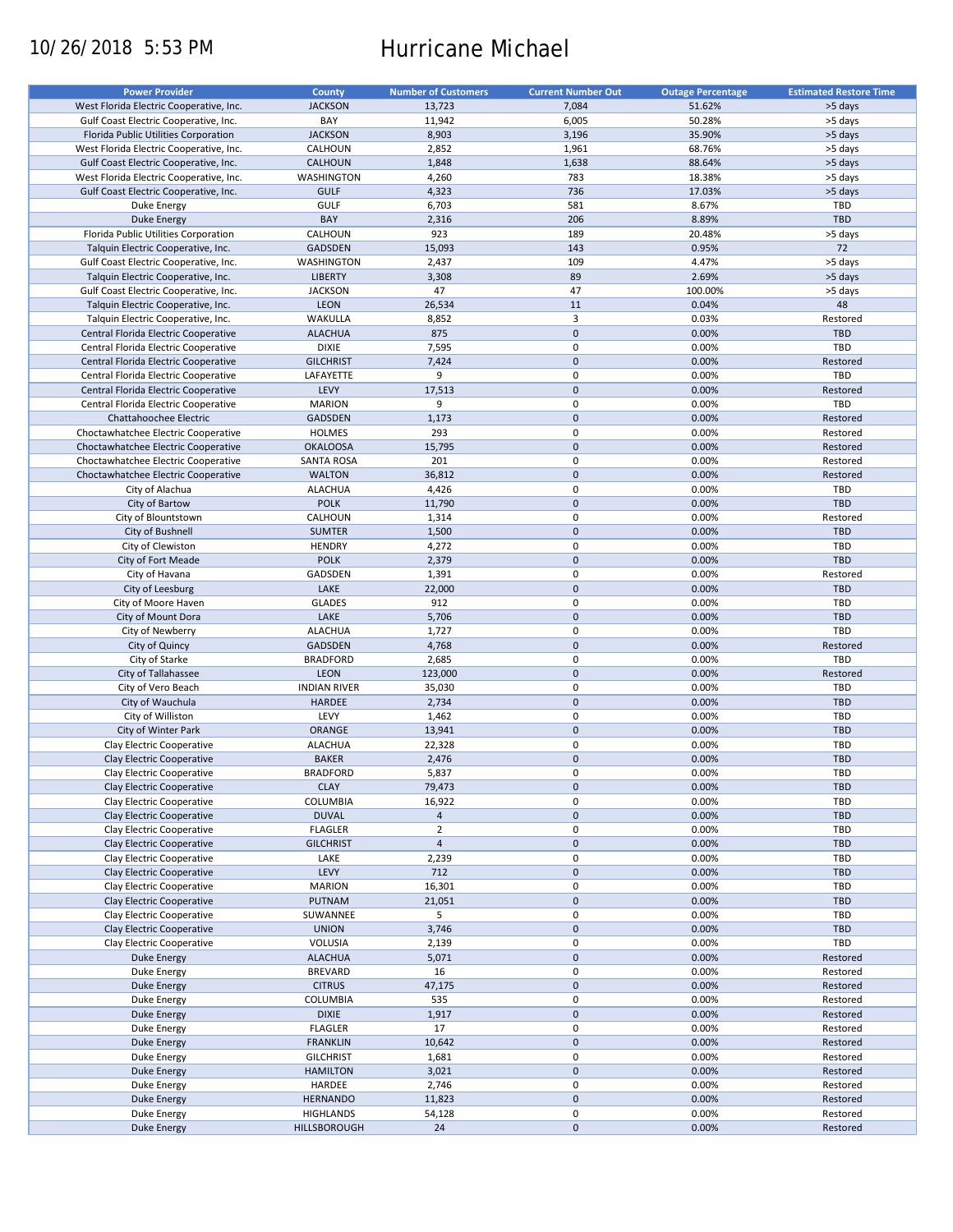# 10/26/2018 5:53 PM Hurricane Michael

| <b>Power Provider</b>                   | <b>County</b>       | <b>Number of Customers</b> | <b>Current Number Out</b> | <b>Outage Percentage</b> | <b>Estimated Restore Time</b> |
|-----------------------------------------|---------------------|----------------------------|---------------------------|--------------------------|-------------------------------|
|                                         |                     |                            |                           |                          |                               |
| West Florida Electric Cooperative, Inc. | <b>JACKSON</b>      | 13,723                     | 7,084                     | 51.62%                   | >5 days                       |
| Gulf Coast Electric Cooperative, Inc.   | BAY                 | 11,942                     | 6,005                     | 50.28%                   | >5 days                       |
| Florida Public Utilities Corporation    | <b>JACKSON</b>      | 8,903                      | 3,196                     | 35.90%                   | >5 days                       |
| West Florida Electric Cooperative, Inc. | CALHOUN             | 2,852                      | 1,961                     | 68.76%                   | >5 days                       |
| Gulf Coast Electric Cooperative, Inc.   | <b>CALHOUN</b>      | 1,848                      | 1,638                     | 88.64%                   | >5 days                       |
| West Florida Electric Cooperative, Inc. | <b>WASHINGTON</b>   | 4,260                      | 783                       | 18.38%                   | >5 days                       |
| Gulf Coast Electric Cooperative, Inc.   | <b>GULF</b>         | 4,323                      | 736                       | 17.03%                   | >5 days                       |
|                                         |                     |                            |                           |                          |                               |
| Duke Energy                             | <b>GULF</b>         | 6,703                      | 581                       | 8.67%                    | TBD                           |
| <b>Duke Energy</b>                      | BAY                 | 2,316                      | 206                       | 8.89%                    | <b>TBD</b>                    |
| Florida Public Utilities Corporation    | CALHOUN             | 923                        | 189                       | 20.48%                   | >5 days                       |
| Talquin Electric Cooperative, Inc.      | <b>GADSDEN</b>      | 15,093                     | 143                       | 0.95%                    | 72                            |
| Gulf Coast Electric Cooperative, Inc.   | WASHINGTON          | 2,437                      | 109                       | 4.47%                    | >5 days                       |
| Talquin Electric Cooperative, Inc.      | <b>LIBERTY</b>      | 3,308                      | 89                        | 2.69%                    | >5 days                       |
|                                         |                     |                            |                           |                          |                               |
| Gulf Coast Electric Cooperative, Inc.   | <b>JACKSON</b>      | 47                         | 47                        | 100.00%                  | >5 days                       |
| Talquin Electric Cooperative, Inc.      | <b>LEON</b>         | 26,534                     | 11                        | 0.04%                    | 48                            |
| Talquin Electric Cooperative, Inc.      | WAKULLA             | 8,852                      | 3                         | 0.03%                    | Restored                      |
| Central Florida Electric Cooperative    | <b>ALACHUA</b>      | 875                        | $\mathbf 0$               | 0.00%                    | <b>TBD</b>                    |
| Central Florida Electric Cooperative    | <b>DIXIE</b>        | 7,595                      | 0                         | 0.00%                    | TBD                           |
| Central Florida Electric Cooperative    | <b>GILCHRIST</b>    | 7,424                      | $\mathbf 0$               | 0.00%                    | Restored                      |
|                                         |                     | 9                          |                           |                          |                               |
| Central Florida Electric Cooperative    | LAFAYETTE           |                            | $\pmb{0}$                 | 0.00%                    | TBD                           |
| Central Florida Electric Cooperative    | LEVY                | 17,513                     | $\mathbf 0$               | 0.00%                    | Restored                      |
| Central Florida Electric Cooperative    | <b>MARION</b>       | 9                          | 0                         | 0.00%                    | TBD                           |
| Chattahoochee Electric                  | <b>GADSDEN</b>      | 1,173                      | $\pmb{0}$                 | 0.00%                    | Restored                      |
| Choctawhatchee Electric Cooperative     | <b>HOLMES</b>       | 293                        | $\pmb{0}$                 | 0.00%                    | Restored                      |
| Choctawhatchee Electric Cooperative     | <b>OKALOOSA</b>     | 15,795                     | $\mathbf 0$               | 0.00%                    | Restored                      |
|                                         |                     |                            |                           |                          |                               |
| Choctawhatchee Electric Cooperative     | <b>SANTA ROSA</b>   | 201                        | $\pmb{0}$                 | 0.00%                    | Restored                      |
| Choctawhatchee Electric Cooperative     | <b>WALTON</b>       | 36,812                     | $\mathbf 0$               | 0.00%                    | Restored                      |
| City of Alachua                         | <b>ALACHUA</b>      | 4,426                      | $\pmb{0}$                 | 0.00%                    | TBD                           |
| City of Bartow                          | <b>POLK</b>         | 11,790                     | $\mathbf 0$               | 0.00%                    | <b>TBD</b>                    |
| City of Blountstown                     | CALHOUN             | 1,314                      | $\pmb{0}$                 | 0.00%                    | Restored                      |
| City of Bushnell                        | <b>SUMTER</b>       | 1,500                      | $\mathbf 0$               | 0.00%                    | <b>TBD</b>                    |
| City of Clewiston                       | <b>HENDRY</b>       | 4,272                      | $\pmb{0}$                 | 0.00%                    | TBD                           |
|                                         | <b>POLK</b>         |                            | $\mathbf 0$               | 0.00%                    | <b>TBD</b>                    |
| City of Fort Meade                      |                     | 2,379                      |                           |                          |                               |
| City of Havana                          | GADSDEN             | 1,391                      | $\pmb{0}$                 | 0.00%                    | Restored                      |
| City of Leesburg                        | LAKE                | 22,000                     | $\mathbf 0$               | 0.00%                    | <b>TBD</b>                    |
| City of Moore Haven                     | <b>GLADES</b>       | 912                        | $\pmb{0}$                 | 0.00%                    | TBD                           |
| City of Mount Dora                      | LAKE                | 5,706                      | $\mathbf 0$               | 0.00%                    | TBD                           |
| City of Newberry                        | <b>ALACHUA</b>      | 1,727                      | $\pmb{0}$                 | 0.00%                    | TBD                           |
| City of Quincy                          | <b>GADSDEN</b>      | 4,768                      | $\mathbf 0$               | 0.00%                    | Restored                      |
| City of Starke                          | <b>BRADFORD</b>     | 2,685                      | 0                         | 0.00%                    | TBD                           |
| City of Tallahassee                     | <b>LEON</b>         | 123,000                    | $\mathbf 0$               | 0.00%                    | Restored                      |
|                                         |                     |                            |                           |                          |                               |
| City of Vero Beach                      | <b>INDIAN RIVER</b> | 35,030                     | 0                         | 0.00%                    | TBD                           |
| City of Wauchula                        | HARDEE              | 2,734                      | $\pmb{0}$                 | 0.00%                    | <b>TBD</b>                    |
| City of Williston                       | LEVY                | 1,462                      | $\pmb{0}$                 | 0.00%                    | TBD                           |
| City of Winter Park                     | ORANGE              | 13,941                     | $\mathbf 0$               | 0.00%                    | <b>TBD</b>                    |
| Clay Electric Cooperative               | <b>ALACHUA</b>      | 22,328                     | $\pmb{0}$                 | 0.00%                    | TBD                           |
| Clay Electric Cooperative               | <b>BAKER</b>        | 2,476                      | $\pmb{0}$                 | 0.00%                    | <b>TBD</b>                    |
| Clay Electric Cooperative               | <b>BRADFORD</b>     |                            | $\mathbf 0$               | 0.00%                    | TBD                           |
|                                         |                     | 5,837                      |                           |                          |                               |
| Clay Electric Cooperative               | <b>CLAY</b>         | 79,473                     | $\pmb{0}$                 | 0.00%                    | TBD                           |
| Clay Electric Cooperative               | COLUMBIA            | 16,922                     | 0                         | 0.00%                    | TBD                           |
| Clay Electric Cooperative               | <b>DUVAL</b>        | $\overline{a}$             | $\mathbf 0$               | 0.00%                    | <b>TBD</b>                    |
| Clay Electric Cooperative               | <b>FLAGLER</b>      | $\overline{2}$             | 0                         | 0.00%                    | TBD                           |
| Clay Electric Cooperative               | <b>GILCHRIST</b>    | $\overline{4}$             | $\pmb{0}$                 | 0.00%                    | <b>TBD</b>                    |
| Clay Electric Cooperative               | LAKE                | 2,239                      | 0                         | 0.00%                    | TBD                           |
|                                         | LEVY                | 712                        | $\pmb{0}$                 | 0.00%                    | <b>TBD</b>                    |
| Clay Electric Cooperative               |                     |                            |                           |                          |                               |
| Clay Electric Cooperative               | <b>MARION</b>       | 16,301                     | 0                         | 0.00%                    | TBD                           |
| Clay Electric Cooperative               | PUTNAM              | 21,051                     | $\pmb{0}$                 | 0.00%                    | <b>TBD</b>                    |
| Clay Electric Cooperative               | SUWANNEE            | 5                          | 0                         | 0.00%                    | TBD                           |
| Clay Electric Cooperative               | <b>UNION</b>        | 3,746                      | $\pmb{0}$                 | 0.00%                    | TBD                           |
| Clay Electric Cooperative               | VOLUSIA             | 2,139                      | $\pmb{0}$                 | 0.00%                    | TBD                           |
| Duke Energy                             | <b>ALACHUA</b>      | 5,071                      | $\mathsf{O}\xspace$       | 0.00%                    | Restored                      |
|                                         |                     | 16                         | 0                         | 0.00%                    | Restored                      |
| Duke Energy                             | BREVARD             |                            |                           |                          |                               |
| Duke Energy                             | <b>CITRUS</b>       | 47,175                     | $\mathsf{O}\xspace$       | 0.00%                    | Restored                      |
| Duke Energy                             | <b>COLUMBIA</b>     | 535                        | 0                         | 0.00%                    | Restored                      |
| Duke Energy                             | <b>DIXIE</b>        | 1,917                      | $\pmb{0}$                 | 0.00%                    | Restored                      |
| Duke Energy                             | <b>FLAGLER</b>      | 17                         | 0                         | 0.00%                    | Restored                      |
| Duke Energy                             | <b>FRANKLIN</b>     | 10,642                     | $\pmb{0}$                 | 0.00%                    | Restored                      |
| Duke Energy                             | <b>GILCHRIST</b>    | 1,681                      | $\pmb{0}$                 | 0.00%                    | Restored                      |
| Duke Energy                             | <b>HAMILTON</b>     | 3,021                      | $\pmb{0}$                 | 0.00%                    | Restored                      |
|                                         |                     |                            |                           |                          |                               |
| Duke Energy                             | HARDEE              | 2,746                      | $\pmb{0}$                 | 0.00%                    | Restored                      |
| Duke Energy                             | <b>HERNANDO</b>     | 11,823                     | $\pmb{0}$                 | 0.00%                    | Restored                      |
| Duke Energy                             | <b>HIGHLANDS</b>    | 54,128                     | $\pmb{0}$                 | 0.00%                    | Restored                      |
| Duke Energy                             | HILLSBOROUGH        | 24                         | $\mathbf 0$               | 0.00%                    | Restored                      |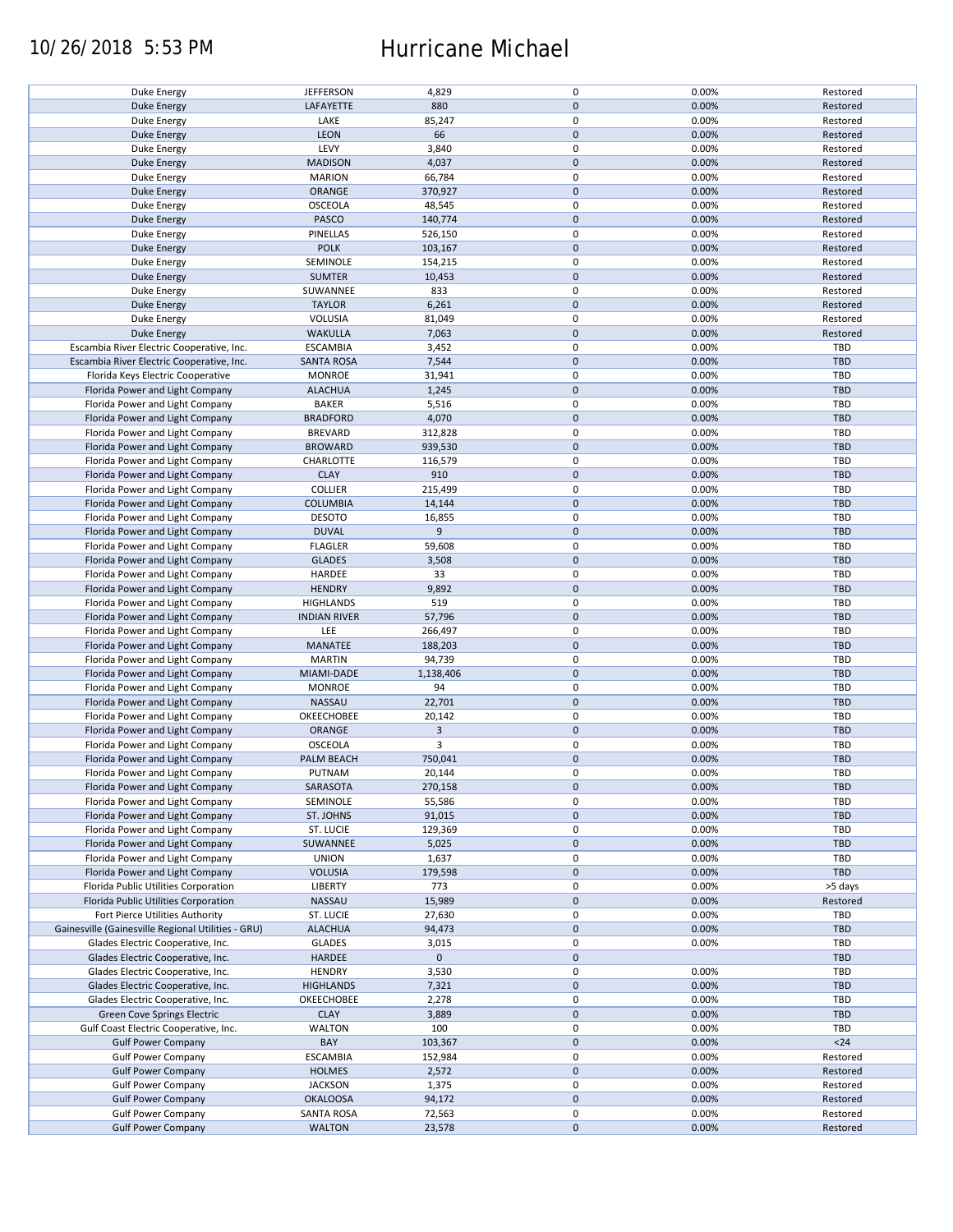### 10/26/2018 5:53 PM Hurricane Michael

| Duke Energy                                        | <b>JEFFERSON</b>    | 4,829          | $\pmb{0}$           | 0.00% | Restored   |
|----------------------------------------------------|---------------------|----------------|---------------------|-------|------------|
| <b>Duke Energy</b>                                 | LAFAYETTE           | 880            | $\mathbf 0$         | 0.00% | Restored   |
| Duke Energy                                        | LAKE                | 85,247         | 0                   | 0.00% | Restored   |
|                                                    |                     |                |                     |       |            |
| <b>Duke Energy</b>                                 | LEON                | 66             | $\mathbf 0$         | 0.00% | Restored   |
| Duke Energy                                        | LEVY                | 3,840          | $\pmb{0}$           | 0.00% | Restored   |
| <b>Duke Energy</b>                                 | <b>MADISON</b>      | 4,037          | $\mathbf 0$         | 0.00% | Restored   |
|                                                    | <b>MARION</b>       | 66,784         | 0                   | 0.00% | Restored   |
| Duke Energy                                        |                     |                |                     |       |            |
| <b>Duke Energy</b>                                 | ORANGE              | 370,927        | $\mathbf 0$         | 0.00% | Restored   |
| Duke Energy                                        | <b>OSCEOLA</b>      | 48,545         | $\pmb{0}$           | 0.00% | Restored   |
| <b>Duke Energy</b>                                 | PASCO               | 140,774        | $\mathbf 0$         | 0.00% | Restored   |
|                                                    |                     |                |                     |       |            |
| Duke Energy                                        | PINELLAS            | 526,150        | 0                   | 0.00% | Restored   |
| <b>Duke Energy</b>                                 | <b>POLK</b>         | 103,167        | $\pmb{0}$           | 0.00% | Restored   |
| Duke Energy                                        | SEMINOLE            | 154,215        | $\pmb{0}$           | 0.00% | Restored   |
| <b>Duke Energy</b>                                 | <b>SUMTER</b>       |                | $\mathbf 0$         | 0.00% | Restored   |
|                                                    |                     | 10,453         |                     |       |            |
| Duke Energy                                        | SUWANNEE            | 833            | $\pmb{0}$           | 0.00% | Restored   |
| <b>Duke Energy</b>                                 | <b>TAYLOR</b>       | 6,261          | $\pmb{0}$           | 0.00% | Restored   |
| Duke Energy                                        | VOLUSIA             | 81,049         | $\pmb{0}$           | 0.00% | Restored   |
|                                                    |                     |                |                     |       |            |
| <b>Duke Energy</b>                                 | <b>WAKULLA</b>      | 7,063          | $\pmb{0}$           | 0.00% | Restored   |
| Escambia River Electric Cooperative, Inc.          | <b>ESCAMBIA</b>     | 3,452          | $\pmb{0}$           | 0.00% | TBD        |
| Escambia River Electric Cooperative, Inc.          | <b>SANTA ROSA</b>   | 7,544          | $\pmb{0}$           | 0.00% | TBD        |
|                                                    |                     |                | $\pmb{0}$           |       | TBD        |
| Florida Keys Electric Cooperative                  | <b>MONROE</b>       | 31,941         |                     | 0.00% |            |
| Florida Power and Light Company                    | <b>ALACHUA</b>      | 1,245          | $\pmb{0}$           | 0.00% | <b>TBD</b> |
| Florida Power and Light Company                    | <b>BAKER</b>        | 5,516          | 0                   | 0.00% | TBD        |
| Florida Power and Light Company                    | <b>BRADFORD</b>     | 4,070          | $\pmb{0}$           | 0.00% | <b>TBD</b> |
|                                                    |                     |                |                     |       |            |
| Florida Power and Light Company                    | <b>BREVARD</b>      | 312,828        | $\pmb{0}$           | 0.00% | <b>TBD</b> |
| Florida Power and Light Company                    | <b>BROWARD</b>      | 939,530        | $\mathbf 0$         | 0.00% | <b>TBD</b> |
| Florida Power and Light Company                    | CHARLOTTE           | 116,579        | $\pmb{0}$           | 0.00% | TBD        |
|                                                    |                     |                |                     |       |            |
| Florida Power and Light Company                    | <b>CLAY</b>         | 910            | $\mathbf 0$         | 0.00% | <b>TBD</b> |
| Florida Power and Light Company                    | <b>COLLIER</b>      | 215,499        | 0                   | 0.00% | TBD        |
| Florida Power and Light Company                    | <b>COLUMBIA</b>     | 14,144         | $\mathbf 0$         | 0.00% | <b>TBD</b> |
|                                                    |                     |                |                     |       | TBD        |
| Florida Power and Light Company                    | <b>DESOTO</b>       | 16,855         | 0                   | 0.00% |            |
| Florida Power and Light Company                    | <b>DUVAL</b>        | 9              | $\pmb{0}$           | 0.00% | <b>TBD</b> |
| Florida Power and Light Company                    | <b>FLAGLER</b>      | 59,608         | $\pmb{0}$           | 0.00% | TBD        |
| Florida Power and Light Company                    | <b>GLADES</b>       | 3,508          | $\mathbf 0$         | 0.00% | <b>TBD</b> |
|                                                    |                     |                |                     |       |            |
| Florida Power and Light Company                    | HARDEE              | 33             | $\pmb{0}$           | 0.00% | TBD        |
| Florida Power and Light Company                    | <b>HENDRY</b>       | 9,892          | $\pmb{0}$           | 0.00% | <b>TBD</b> |
| Florida Power and Light Company                    | <b>HIGHLANDS</b>    | 519            | $\pmb{0}$           | 0.00% | TBD        |
|                                                    |                     |                |                     |       |            |
| Florida Power and Light Company                    | <b>INDIAN RIVER</b> | 57,796         | $\mathbf 0$         | 0.00% | <b>TBD</b> |
| Florida Power and Light Company                    | LEE                 | 266,497        | 0                   | 0.00% | <b>TBD</b> |
| Florida Power and Light Company                    | MANATEE             | 188,203        | $\mathbf 0$         | 0.00% | <b>TBD</b> |
| Florida Power and Light Company                    | <b>MARTIN</b>       | 94,739         | 0                   | 0.00% | <b>TBD</b> |
|                                                    |                     |                |                     |       |            |
| Florida Power and Light Company                    | MIAMI-DADE          | 1,138,406      | $\pmb{0}$           | 0.00% | <b>TBD</b> |
| Florida Power and Light Company                    | <b>MONROE</b>       | 94             | $\pmb{0}$           | 0.00% | <b>TBD</b> |
| Florida Power and Light Company                    | NASSAU              | 22,701         | $\mathbf 0$         | 0.00% | <b>TBD</b> |
|                                                    |                     |                |                     |       |            |
| Florida Power and Light Company                    | OKEECHOBEE          | 20,142         | $\pmb{0}$           | 0.00% | <b>TBD</b> |
| Florida Power and Light Company                    | ORANGE              | $\overline{3}$ | $\mathbf 0$         | 0.00% | <b>TBD</b> |
| Florida Power and Light Company                    | <b>OSCEOLA</b>      | 3              | 0                   | 0.00% | <b>TBD</b> |
|                                                    |                     |                |                     |       |            |
| Florida Power and Light Company                    | PALM BEACH          | 750,041        | $\mathbf 0$         | 0.00% | <b>TBD</b> |
| Florida Power and Light Company                    | PUTNAM              | 20,144         | $\mathbf 0$         | 0.00% | TBD        |
| Florida Power and Light Company                    | SARASOTA            | 270,158        | $\mathbf 0$         | 0.00% | TBD        |
|                                                    |                     |                |                     |       |            |
| Florida Power and Light Company                    | SEMINOLE            | 55,586         | 0                   | 0.00% | TBD        |
| Florida Power and Light Company                    | ST. JOHNS           | 91,015         | $\mathbf 0$         | 0.00% | <b>TBD</b> |
| Florida Power and Light Company                    | ST. LUCIE           | 129,369        | 0                   | 0.00% | TBD        |
| Florida Power and Light Company                    | SUWANNEE            | 5,025          | $\mathbf 0$         | 0.00% | <b>TBD</b> |
|                                                    |                     |                |                     |       |            |
| Florida Power and Light Company                    | <b>UNION</b>        | 1,637          | 0                   | 0.00% | TBD        |
| Florida Power and Light Company                    | <b>VOLUSIA</b>      | 179,598        | $\pmb{0}$           | 0.00% | TBD        |
| Florida Public Utilities Corporation               | <b>LIBERTY</b>      | 773            | 0                   | 0.00% | >5 days    |
|                                                    |                     |                |                     |       |            |
| Florida Public Utilities Corporation               | NASSAU              | 15,989         | $\mathbf 0$         | 0.00% | Restored   |
| Fort Pierce Utilities Authority                    | ST. LUCIE           | 27,630         | 0                   | 0.00% | TBD        |
| Gainesville (Gainesville Regional Utilities - GRU) | <b>ALACHUA</b>      | 94,473         | $\pmb{0}$           | 0.00% | <b>TBD</b> |
| Glades Electric Cooperative, Inc.                  | <b>GLADES</b>       | 3,015          | $\pmb{0}$           | 0.00% | TBD        |
|                                                    |                     |                |                     |       |            |
| Glades Electric Cooperative, Inc.                  | HARDEE              | $\mathbf 0$    | $\pmb{0}$           |       | TBD        |
| Glades Electric Cooperative, Inc.                  | <b>HENDRY</b>       | 3,530          | $\pmb{0}$           | 0.00% | TBD        |
| Glades Electric Cooperative, Inc.                  | <b>HIGHLANDS</b>    | 7,321          | $\pmb{0}$           | 0.00% | <b>TBD</b> |
|                                                    |                     |                |                     |       |            |
| Glades Electric Cooperative, Inc.                  | OKEECHOBEE          | 2,278          | $\pmb{0}$           | 0.00% | TBD        |
| Green Cove Springs Electric                        | <b>CLAY</b>         | 3,889          | $\pmb{0}$           | 0.00% | <b>TBD</b> |
| Gulf Coast Electric Cooperative, Inc.              | <b>WALTON</b>       | 100            | $\pmb{0}$           | 0.00% | TBD        |
|                                                    | BAY                 |                | $\pmb{0}$           |       | $<24$      |
| <b>Gulf Power Company</b>                          |                     | 103,367        |                     | 0.00% |            |
| <b>Gulf Power Company</b>                          | <b>ESCAMBIA</b>     | 152,984        | $\pmb{0}$           | 0.00% | Restored   |
| <b>Gulf Power Company</b>                          | <b>HOLMES</b>       | 2,572          | $\pmb{0}$           | 0.00% | Restored   |
| <b>Gulf Power Company</b>                          | <b>JACKSON</b>      | 1,375          | 0                   | 0.00% | Restored   |
|                                                    |                     |                |                     |       |            |
| <b>Gulf Power Company</b>                          | <b>OKALOOSA</b>     | 94,172         | $\mathsf{O}\xspace$ | 0.00% | Restored   |
| <b>Gulf Power Company</b>                          | <b>SANTA ROSA</b>   | 72,563         | 0                   | 0.00% | Restored   |
| <b>Gulf Power Company</b>                          | <b>WALTON</b>       | 23,578         | $\mathsf{O}\xspace$ | 0.00% | Restored   |
|                                                    |                     |                |                     |       |            |